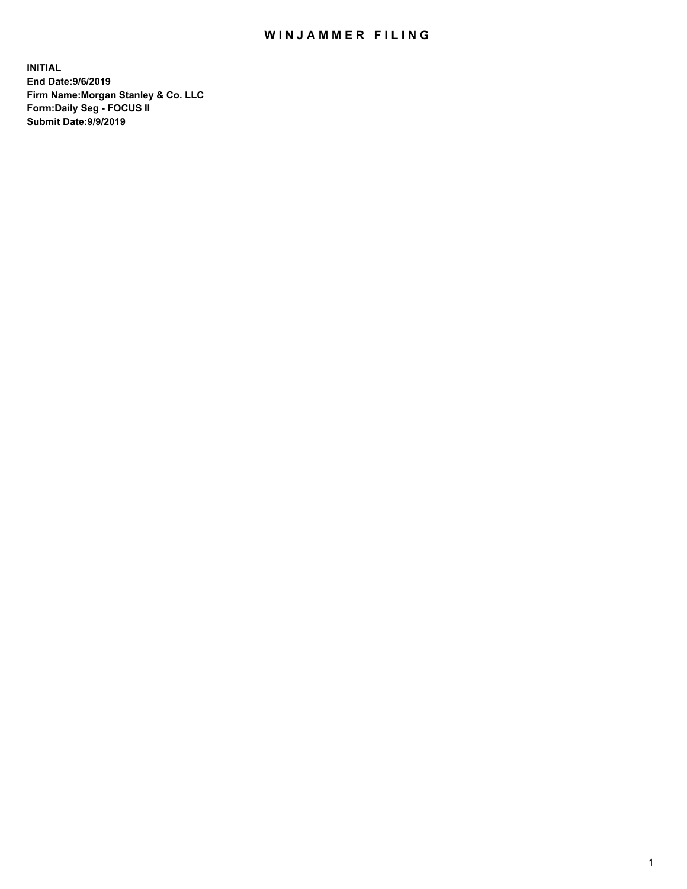## WIN JAMMER FILING

**INITIAL End Date:9/6/2019 Firm Name:Morgan Stanley & Co. LLC Form:Daily Seg - FOCUS II Submit Date:9/9/2019**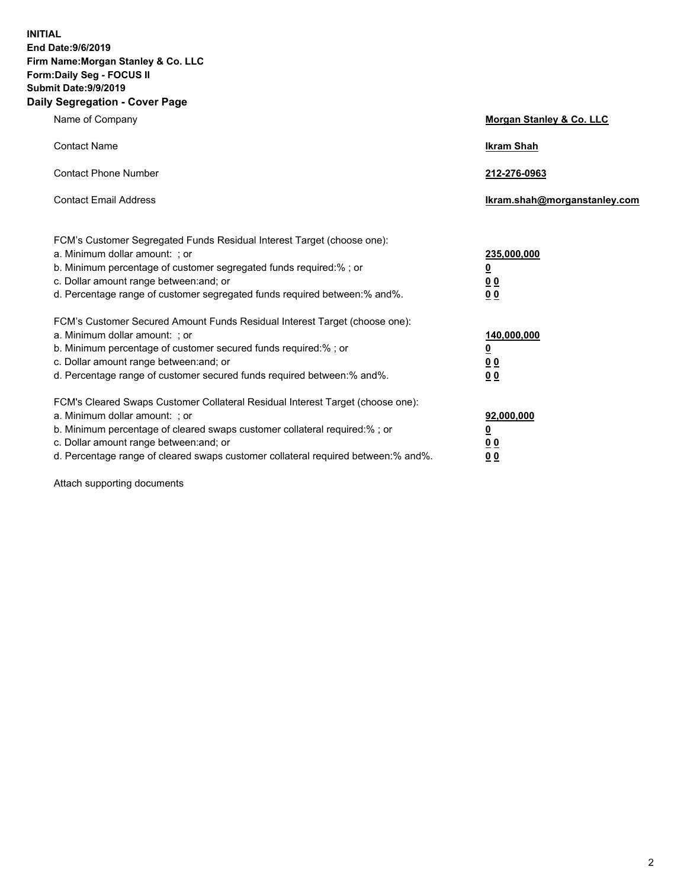**INITIAL End Date:9/6/2019 Firm Name:Morgan Stanley & Co. LLC Form:Daily Seg - FOCUS II Submit Date:9/9/2019 Daily Segregation - Cover Page**

| Name of Company                                                                                                                                                                                                                                                                                                                | Morgan Stanley & Co. LLC                                    |
|--------------------------------------------------------------------------------------------------------------------------------------------------------------------------------------------------------------------------------------------------------------------------------------------------------------------------------|-------------------------------------------------------------|
| <b>Contact Name</b>                                                                                                                                                                                                                                                                                                            | <b>Ikram Shah</b>                                           |
| <b>Contact Phone Number</b>                                                                                                                                                                                                                                                                                                    | 212-276-0963                                                |
| <b>Contact Email Address</b>                                                                                                                                                                                                                                                                                                   | Ikram.shah@morganstanley.com                                |
| FCM's Customer Segregated Funds Residual Interest Target (choose one):<br>a. Minimum dollar amount: ; or<br>b. Minimum percentage of customer segregated funds required:% ; or<br>c. Dollar amount range between: and; or<br>d. Percentage range of customer segregated funds required between:% and%.                         | 235,000,000<br><u>0</u><br>0 <sub>0</sub><br>00             |
| FCM's Customer Secured Amount Funds Residual Interest Target (choose one):<br>a. Minimum dollar amount: ; or<br>b. Minimum percentage of customer secured funds required:% ; or<br>c. Dollar amount range between: and; or<br>d. Percentage range of customer secured funds required between:% and%.                           | 140,000,000<br><u>0</u><br>0 <sub>0</sub><br>0 <sub>0</sub> |
| FCM's Cleared Swaps Customer Collateral Residual Interest Target (choose one):<br>a. Minimum dollar amount: ; or<br>b. Minimum percentage of cleared swaps customer collateral required:% ; or<br>c. Dollar amount range between: and; or<br>d. Percentage range of cleared swaps customer collateral required between:% and%. | 92,000,000<br><u>0</u><br>0 Q<br>0 <sub>0</sub>             |

Attach supporting documents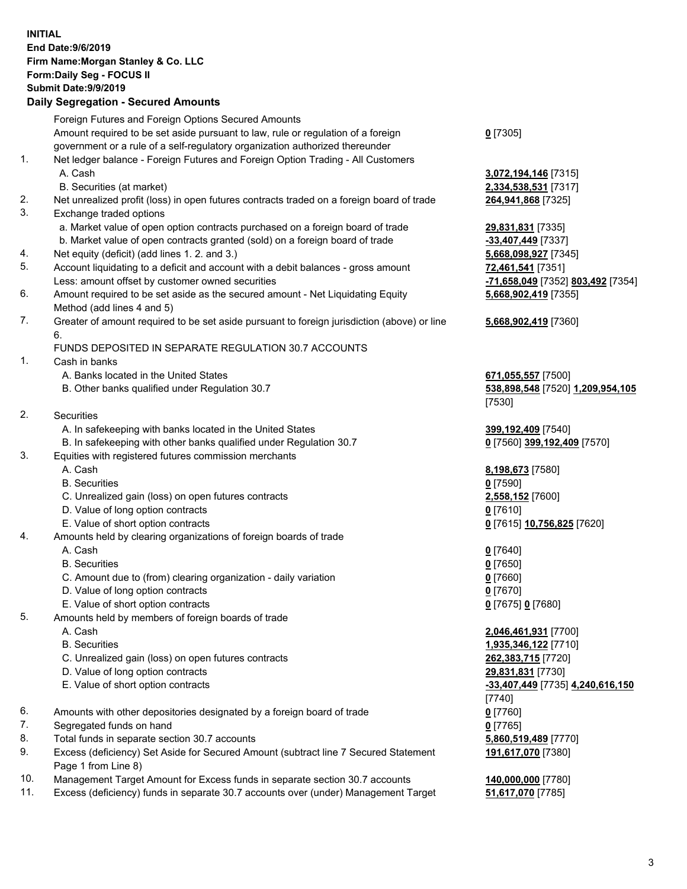## **INITIAL End Date:9/6/2019 Firm Name:Morgan Stanley & Co. LLC Form:Daily Seg - FOCUS II Submit Date:9/9/2019 Daily Segregation - Secured Amounts** Foreign Futures and Foreign Options Secured Amounts Amount required to be set aside pursuant to law, rule or regulation of a foreign government or a rule of a self-regulatory organization authorized thereunder **0** [7305] 1. Net ledger balance - Foreign Futures and Foreign Option Trading - All Customers A. Cash **3,072,194,146** [7315] B. Securities (at market) **2,334,538,531** [7317] 2. Net unrealized profit (loss) in open futures contracts traded on a foreign board of trade **264,941,868** [7325] 3. Exchange traded options a. Market value of open option contracts purchased on a foreign board of trade **29,831,831** [7335] b. Market value of open contracts granted (sold) on a foreign board of trade **-33,407,449** [7337] 4. Net equity (deficit) (add lines 1. 2. and 3.) **5,668,098,927** [7345] 5. Account liquidating to a deficit and account with a debit balances - gross amount **72,461,541** [7351] Less: amount offset by customer owned securities **-71,658,049** [7352] **803,492** [7354] 6. Amount required to be set aside as the secured amount - Net Liquidating Equity Method (add lines 4 and 5) 7. Greater of amount required to be set aside pursuant to foreign jurisdiction (above) or line 6. FUNDS DEPOSITED IN SEPARATE REGULATION 30.7 ACCOUNTS 1. Cash in banks A. Banks located in the United States **671,055,557** [7500] B. Other banks qualified under Regulation 30.7 **538,898,548** [7520] **1,209,954,105** 2. Securities A. In safekeeping with banks located in the United States **399,192,409** [7540] B. In safekeeping with other banks qualified under Regulation 30.7 **0** [7560] **399,192,409** [7570] 3. Equities with registered futures commission merchants A. Cash **8,198,673** [7580] B. Securities **0** [7590] C. Unrealized gain (loss) on open futures contracts **2,558,152** [7600] D. Value of long option contracts **0** [7610] E. Value of short option contracts **0** [7615] **10,756,825** [7620] 4. Amounts held by clearing organizations of foreign boards of trade A. Cash **0** [7640] B. Securities **0** [7650] C. Amount due to (from) clearing organization - daily variation **0** [7660] D. Value of long option contracts **0** [7670] E. Value of short option contracts **0** [7675] **0** [7680] 5. Amounts held by members of foreign boards of trade A. Cash **2,046,461,931** [7700] B. Securities **1,935,346,122** [7710] C. Unrealized gain (loss) on open futures contracts **262,383,715** [7720] D. Value of long option contracts **29,831,831** [7730] E. Value of short option contracts **-33,407,449** [7735] **4,240,616,150** 6. Amounts with other depositories designated by a foreign board of trade **0** [7760] 7. Segregated funds on hand **0** [7765] 8. Total funds in separate section 30.7 accounts **5,860,519,489** [7770] 9. Excess (deficiency) Set Aside for Secured Amount (subtract line 7 Secured Statement

10. Management Target Amount for Excess funds in separate section 30.7 accounts **140,000,000** [7780]

Page 1 from Line 8)

11. Excess (deficiency) funds in separate 30.7 accounts over (under) Management Target **51,617,070** [7785]

**5,668,902,419** [7355] **5,668,902,419** [7360]

[7530]

[7740] **191,617,070** [7380]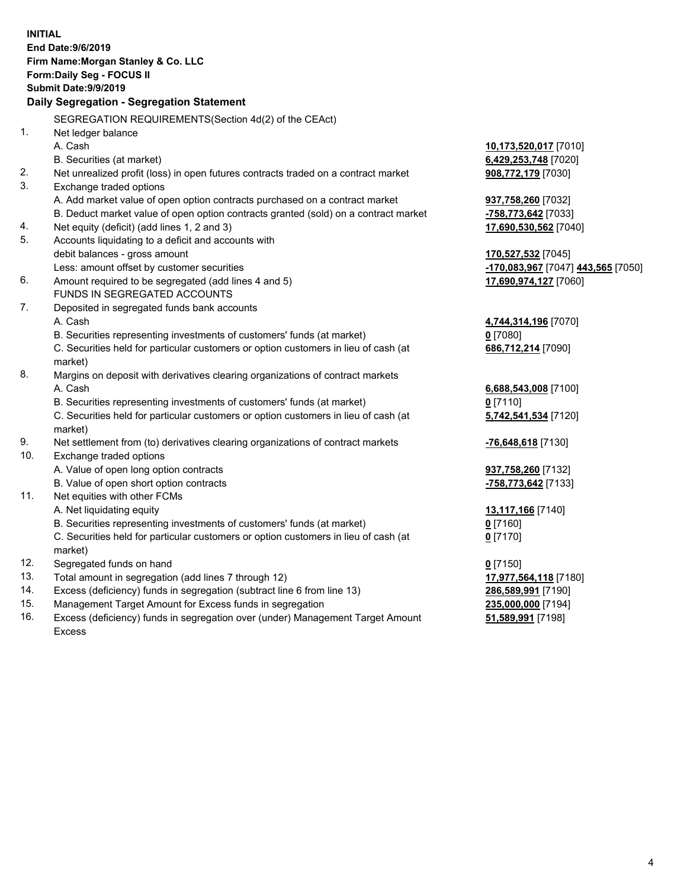|     | <b>INITIAL</b>                                                                            |                                    |
|-----|-------------------------------------------------------------------------------------------|------------------------------------|
|     | End Date: 9/6/2019                                                                        |                                    |
|     | Firm Name: Morgan Stanley & Co. LLC                                                       |                                    |
|     | Form: Daily Seg - FOCUS II                                                                |                                    |
|     | Submit Date: 9/9/2019                                                                     |                                    |
|     | Daily Segregation - Segregation Statement                                                 |                                    |
|     | SEGREGATION REQUIREMENTS(Section 4d(2) of the CEAct)                                      |                                    |
| 1.  | Net ledger balance                                                                        |                                    |
|     | A. Cash                                                                                   | 10,173,520,017 [7010]              |
|     | B. Securities (at market)                                                                 | 6,429,253,748 [7020]               |
| 2.  | Net unrealized profit (loss) in open futures contracts traded on a contract market        | 908,772,179 [7030]                 |
| 3.  | Exchange traded options                                                                   |                                    |
|     | A. Add market value of open option contracts purchased on a contract market               | 937,758,260 [7032]                 |
|     | B. Deduct market value of open option contracts granted (sold) on a contract market       | -758,773,642 [7033]                |
| 4.  | Net equity (deficit) (add lines 1, 2 and 3)                                               | 17,690,530,562 [7040]              |
| 5.  | Accounts liquidating to a deficit and accounts with                                       |                                    |
|     | debit balances - gross amount                                                             | 170,527,532 [7045]                 |
|     | Less: amount offset by customer securities                                                | -170,083,967 [7047] 443,565 [7050] |
| 6.  | Amount required to be segregated (add lines 4 and 5)                                      | 17,690,974,127 [7060]              |
|     | FUNDS IN SEGREGATED ACCOUNTS                                                              |                                    |
| 7.  | Deposited in segregated funds bank accounts                                               |                                    |
|     | A. Cash                                                                                   | 4,744,314,196 [7070]               |
|     | B. Securities representing investments of customers' funds (at market)                    | $0$ [7080]                         |
|     | C. Securities held for particular customers or option customers in lieu of cash (at       | 686,712,214 [7090]                 |
| 8.  | market)<br>Margins on deposit with derivatives clearing organizations of contract markets |                                    |
|     | A. Cash                                                                                   | 6,688,543,008 [7100]               |
|     | B. Securities representing investments of customers' funds (at market)                    | $0$ [7110]                         |
|     | C. Securities held for particular customers or option customers in lieu of cash (at       | 5,742,541,534 [7120]               |
|     | market)                                                                                   |                                    |
| 9.  | Net settlement from (to) derivatives clearing organizations of contract markets           | -76,648,618 [7130]                 |
| 10. | Exchange traded options                                                                   |                                    |
|     | A. Value of open long option contracts                                                    | 937,758,260 [7132]                 |
|     | B. Value of open short option contracts                                                   | -758,773,642 [7133]                |
| 11. | Net equities with other FCMs                                                              |                                    |
|     | A. Net liquidating equity                                                                 | 13,117,166 [7140]                  |
|     | B. Securities representing investments of customers' funds (at market)                    | $0$ [7160]                         |
|     | C. Securities held for particular customers or option customers in lieu of cash (at       | $0$ [7170]                         |
|     | market)                                                                                   |                                    |
| 12. | Segregated funds on hand                                                                  | $0$ [7150]                         |
| 13. | Total amount in segregation (add lines 7 through 12)                                      | 17,977,564,118 [7180]              |
| 14. | Excess (deficiency) funds in segregation (subtract line 6 from line 13)                   | 286,589,991 [7190]                 |
| 15. | Management Target Amount for Excess funds in segregation                                  | 235,000,000 [7194]                 |
| 16. | Excess (deficiency) funds in segregation over (under) Management Target Amount            | 51,589,991 [7198]                  |

16. Excess (deficiency) funds in segregation over (under) Management Target Amount Excess